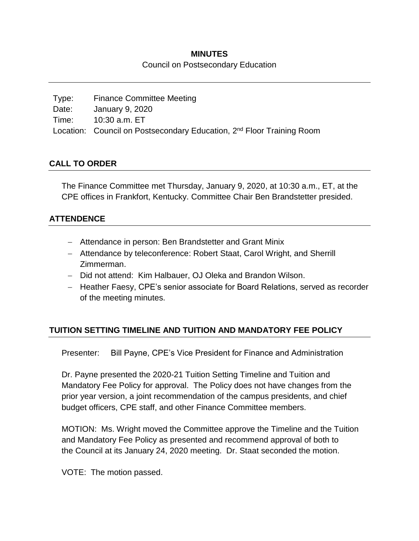### **MINUTES**

Council on Postsecondary Education

| Type: | <b>Finance Committee Meeting</b>                                                  |
|-------|-----------------------------------------------------------------------------------|
| Date: | January 9, 2020                                                                   |
| Time: | 10:30 a.m. ET                                                                     |
|       | Location: Council on Postsecondary Education, 2 <sup>nd</sup> Floor Training Room |

### **CALL TO ORDER**

The Finance Committee met Thursday, January 9, 2020, at 10:30 a.m., ET, at the CPE offices in Frankfort, Kentucky. Committee Chair Ben Brandstetter presided.

### **ATTENDENCE**

- Attendance in person: Ben Brandstetter and Grant Minix
- Attendance by teleconference: Robert Staat, Carol Wright, and Sherrill Zimmerman.
- Did not attend: Kim Halbauer, OJ Oleka and Brandon Wilson.
- Heather Faesy, CPE's senior associate for Board Relations, served as recorder of the meeting minutes.

## **TUITION SETTING TIMELINE AND TUITION AND MANDATORY FEE POLICY**

Presenter: Bill Payne, CPE's Vice President for Finance and Administration

Dr. Payne presented the 2020-21 Tuition Setting Timeline and Tuition and Mandatory Fee Policy for approval. The Policy does not have changes from the prior year version, a joint recommendation of the campus presidents, and chief budget officers, CPE staff, and other Finance Committee members.

MOTION: Ms. Wright moved the Committee approve the Timeline and the Tuition and Mandatory Fee Policy as presented and recommend approval of both to the Council at its January 24, 2020 meeting. Dr. Staat seconded the motion.

VOTE: The motion passed.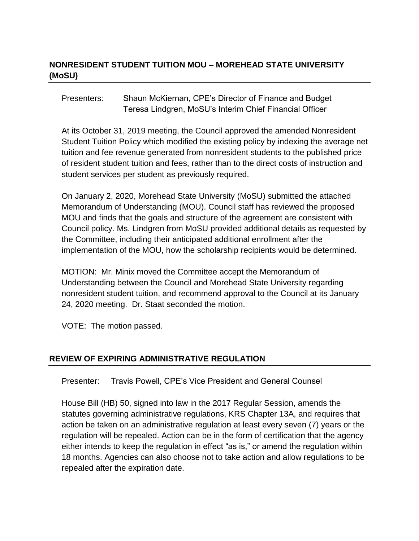# **NONRESIDENT STUDENT TUITION MOU – MOREHEAD STATE UNIVERSITY (MoSU)**

Presenters: Shaun McKiernan, CPE's Director of Finance and Budget Teresa Lindgren, MoSU's Interim Chief Financial Officer

At its October 31, 2019 meeting, the Council approved the amended Nonresident Student Tuition Policy which modified the existing policy by indexing the average net tuition and fee revenue generated from nonresident students to the published price of resident student tuition and fees, rather than to the direct costs of instruction and student services per student as previously required.

On January 2, 2020, Morehead State University (MoSU) submitted the attached Memorandum of Understanding (MOU). Council staff has reviewed the proposed MOU and finds that the goals and structure of the agreement are consistent with Council policy. Ms. Lindgren from MoSU provided additional details as requested by the Committee, including their anticipated additional enrollment after the implementation of the MOU, how the scholarship recipients would be determined.

MOTION: Mr. Minix moved the Committee accept the Memorandum of Understanding between the Council and Morehead State University regarding nonresident student tuition, and recommend approval to the Council at its January 24, 2020 meeting. Dr. Staat seconded the motion.

VOTE: The motion passed.

### **REVIEW OF EXPIRING ADMINISTRATIVE REGULATION**

Presenter: Travis Powell, CPE's Vice President and General Counsel

House Bill (HB) 50, signed into law in the 2017 Regular Session, amends the statutes governing administrative regulations, KRS Chapter 13A, and requires that action be taken on an administrative regulation at least every seven (7) years or the regulation will be repealed. Action can be in the form of certification that the agency either intends to keep the regulation in effect "as is," or amend the regulation within 18 months. Agencies can also choose not to take action and allow regulations to be repealed after the expiration date.